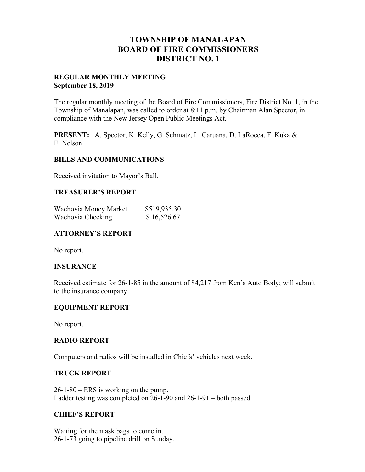## **TOWNSHIP OF MANALAPAN BOARD OF FIRE COMMISSIONERS DISTRICT NO. 1**

#### **REGULAR MONTHLY MEETING September 18, 2019**

The regular monthly meeting of the Board of Fire Commissioners, Fire District No. 1, in the Township of Manalapan, was called to order at 8:11 p.m. by Chairman Alan Spector, in compliance with the New Jersey Open Public Meetings Act.

**PRESENT:** A. Spector, K. Kelly, G. Schmatz, L. Caruana, D. LaRocca, F. Kuka & E. Nelson

#### **BILLS AND COMMUNICATIONS**

Received invitation to Mayor's Ball.

#### **TREASURER'S REPORT**

| Wachovia Money Market | \$519,935.30 |
|-----------------------|--------------|
| Wachovia Checking     | \$16,526.67  |

#### **ATTORNEY'S REPORT**

No report.

#### **INSURANCE**

Received estimate for 26-1-85 in the amount of \$4,217 from Ken's Auto Body; will submit to the insurance company.

#### **EQUIPMENT REPORT**

No report.

#### **RADIO REPORT**

Computers and radios will be installed in Chiefs' vehicles next week.

#### **TRUCK REPORT**

26-1-80 – ERS is working on the pump. Ladder testing was completed on 26-1-90 and 26-1-91 – both passed.

#### **CHIEF'S REPORT**

Waiting for the mask bags to come in. 26-1-73 going to pipeline drill on Sunday.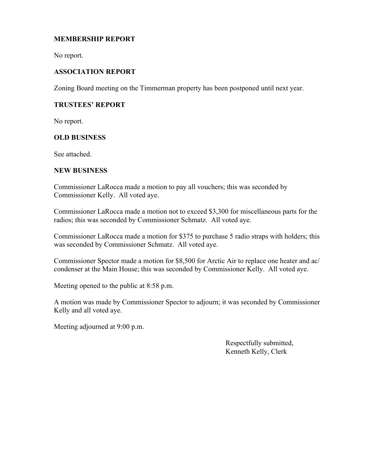## **MEMBERSHIP REPORT**

No report.

## **ASSOCIATION REPORT**

Zoning Board meeting on the Timmerman property has been postponed until next year.

### **TRUSTEES' REPORT**

No report.

#### **OLD BUSINESS**

See attached.

#### **NEW BUSINESS**

Commissioner LaRocca made a motion to pay all vouchers; this was seconded by Commissioner Kelly. All voted aye.

Commissioner LaRocca made a motion not to exceed \$3,300 for miscellaneous parts for the radios; this was seconded by Commissioner Schmatz. All voted aye.

Commissioner LaRocca made a motion for \$375 to purchase 5 radio straps with holders; this was seconded by Commissioner Schmatz. All voted aye.

Commissioner Spector made a motion for \$8,500 for Arctic Air to replace one heater and ac/ condenser at the Main House; this was seconded by Commissioner Kelly. All voted aye.

Meeting opened to the public at 8:58 p.m.

A motion was made by Commissioner Spector to adjourn; it was seconded by Commissioner Kelly and all voted aye.

Meeting adjourned at 9:00 p.m.

 Respectfully submitted, Kenneth Kelly, Clerk